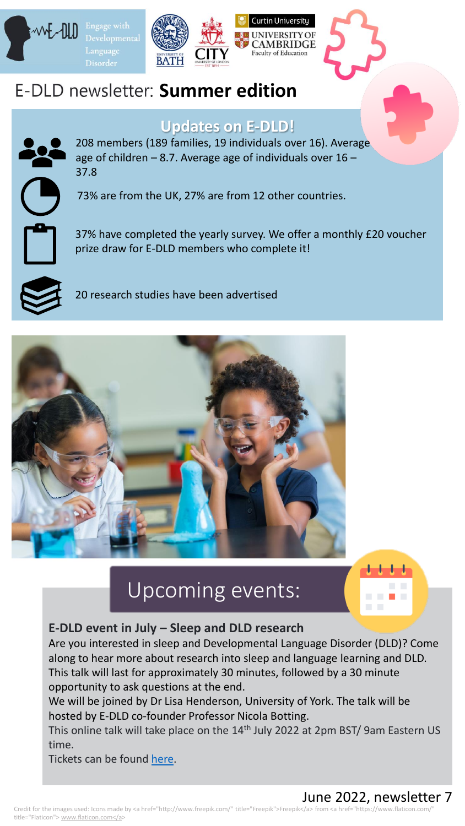

# **E-DLD newsletter: Summer edition**

**Disorder** 

## **Updates on E-DLD!**

 $\mathbf{L}$ 208 members (189 families, 19 individuals over 16). Average age of children  $-8.7$ . Average age of individuals over  $16 -$ 37.8

73% are from the UK, 27% are from 12 other countries.

37% have completed the yearly survey. We offer a monthly £20 voucher prize draw for E-DLD members who complete it!

20 research studies have been advertised



# Upcoming events:



### **E-DLD event in July – Sleep and DLD research**

Are you interested in sleep and Developmental Language Disorder (DLD)? Come along to hear more about research into sleep and language learning and DLD. This talk will last for approximately 30 minutes, followed by a 30 minute opportunity to ask questions at the end.

We will be joined by Dr Lisa Henderson, University of York. The talk will be hosted by E-DLD co-founder Professor Nicola Botting.

This online talk will take place on the 14<sup>th</sup> July 2022 at 2pm BST/ 9am Eastern US time.

Tickets can be found [here.](https://www.eventbrite.co.uk/e/engage-with-dld-sleep-and-dld-research-tickets-338098340237)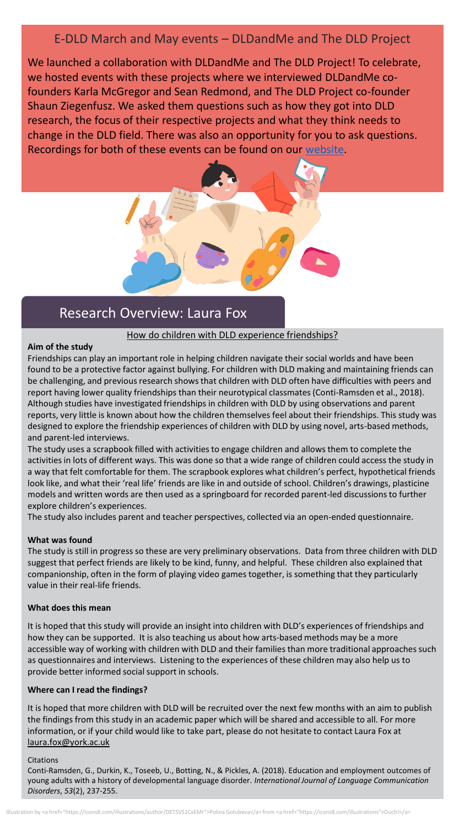### E-DLD March and May events – DLDandMe and The DLD Project

We launched a collaboration with DLDandMe and The DLD Project! To celebrate, we hosted events with these projects where we interviewed DLDandMe cofounders Karla McGregor and Sean Redmond, and The DLD Project co-founder Shaun Ziegenfusz. We asked them questions such as how they got into DLD research, the focus of their respective projects and what they think needs to change in the DLD field. There was also an opportunity for you to ask questions. Recordings for both of these events can be found on our [website](https://www.engage-dld.com/whats-on).

## Research Overview: Laura Fox

#### How do children with DLD experience friendships?

### **Aim of the study**

Friendships can play an important role in helping children navigate their social worlds and have been found to be a protective factor against bullying. For children with DLD making and maintaining friends can be challenging, and previous research shows that children with DLD often have difficulties with peers and report having lower quality friendships than their neurotypical classmates (Conti‐Ramsden et al., 2018). Although studies have investigated friendships in children with DLD by using observations and parent reports, very little is known about how the children themselves feel about their friendships. This study was designed to explore the friendship experiences of children with DLD by using novel, arts-based methods, and parent-led interviews.

The study uses a scrapbook filled with activities to engage children and allows them to complete the activities in lots of different ways. This was done so that a wide range of children could access the study in a way that felt comfortable for them. The scrapbook explores what children's perfect, hypothetical friends look like, and what their 'real life' friends are like in and outside of school. Children's drawings, plasticine models and written words are then used as a springboard for recorded parent-led discussions to further explore children's experiences.

The study also includes parent and teacher perspectives, collected via an open-ended questionnaire.

#### **What was found**

The study is still in progress so these are very preliminary observations. Data from three children with DLD suggest that perfect friends are likely to be kind, funny, and helpful. These children also explained that companionship, often in the form of playing video games together, is something that they particularly value in their real-life friends.

#### **What does this mean**

It is hoped that this study will provide an insight into children with DLD's experiences of friendships and how they can be supported. It is also teaching us about how arts-based methods may be a more accessible way of working with children with DLD and their families than more traditional approaches such as questionnaires and interviews. Listening to the experiences of these children may also help us to provide better informed social support in schools.

#### **Where can I read the findings?**

It is hoped that more children with DLD will be recruited over the next few months with an aim to publish the findings from this study in an academic paper which will be shared and accessible to all. For more information, or if your child would like to take part, please do not hesitate to contact Laura Fox at [laura.fox@york.ac.uk](mailto:laura.fox@york.ac.uk)

#### **Citations**

Conti‐Ramsden, G., Durkin, K., Toseeb, U., Botting, N., & Pickles, A. (2018). Education and employment outcomes of young adults with a history of developmental language disorder. *International Journal of Language Communication Disorders*, *53*(2), 237-255.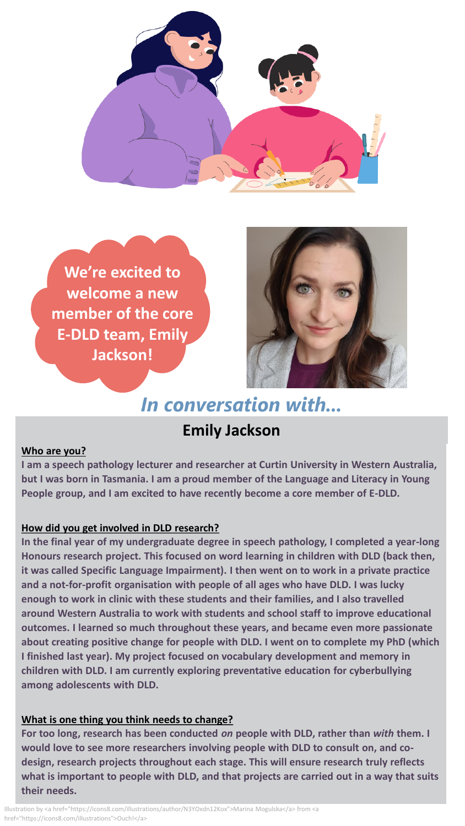

**We're excited to welcome a new member of the core E-DLD team, Emily Jackson!** 



# In conversation with...

## **Emily Jackson**

### **Who are you?**

**I am a speech pathology lecturer and researcher at Curtin University in Western Australia, but I was born in Tasmania. I am a proud member of the Language and Literacy in Young People group, and I am excited to have recently become a core member of E-DLD.**

### **How did you get involved in DLD research?**

**In the final year of my undergraduate degree in speech pathology, I completed a year-long Honours research project. This focused on word learning in children with DLD (back then, it was called Specific Language Impairment). I then went on to work in a private practice and a not-for-profit organisation with people of all ages who have DLD. I was lucky enough to work in clinic with these students and their families, and I also travelled around Western Australia to work with students and school staff to improve educational outcomes. I learned so much throughout these years, and became even more passionate about creating positive change for people with DLD. I went on to complete my PhD (which I finished last year). My project focused on vocabulary development and memory in children with DLD. I am currently exploring preventative education for cyberbullying among adolescents with DLD.** 

### **What is one thing you think needs to change?**

**For too long, research has been conducted** *on* **people with DLD, rather than** *with* **them. I would love to see more researchers involving people with DLD to consult on, and codesign, research projects throughout each stage. This will ensure research truly reflects what is important to people with DLD, and that projects are carried out in a way that suits their needs.**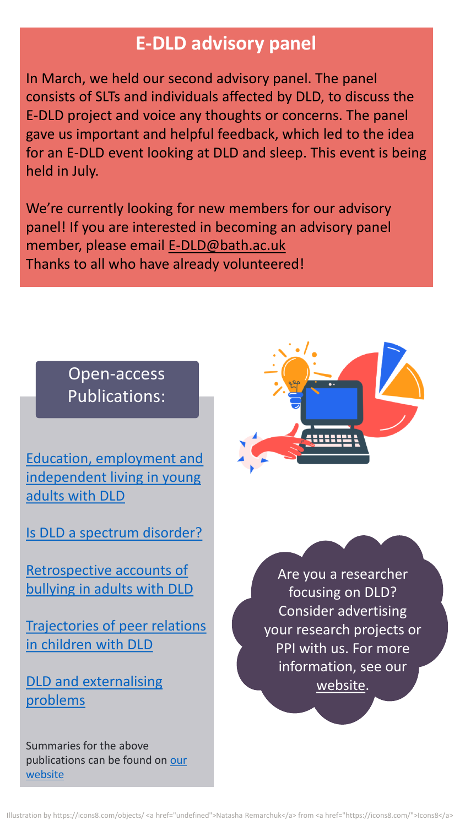# **E-DLD advisory panel**

In March, we held our second advisory panel. The panel consists of SLTs and individuals affected by DLD, to discuss the E-DLD project and voice any thoughts or concerns. The panel gave us important and helpful feedback, which led to the idea for an E-DLD event looking at DLD and sleep. This event is being held in July.

We're currently looking for new members for our advisory panel! If you are interested in becoming an advisory panel member, please email [E-DLD@bath.ac.uk](mailto:E-DLD@bath.ac.uk) Thanks to all who have already volunteered!

# Open-access Publications:

Education, employment and [independent living in young](https://www.engage-dld.com/post/education-employment-and-independent-living-in-young-adults-with-dld)  adults with DLD

[Is DLD a spectrum disorder?](https://www.engage-dld.com/post/is-dld-a-spectrum-disorder)

[Retrospective accounts of](https://www.engage-dld.com/post/retrospective-accounts-of-bullying-in-adults-with-dld)  bullying in adults with DLD

[Trajectories of peer relations](https://www.engage-dld.com/post/trajectories-of-peer-relations-in-children-with-dld)  in children with DLD

[DLD and externalising](https://www.engage-dld.com/post/dld-and-externalising-problems)  problems

Summaries for the above [publications can be found on our](https://www.engage-dld.com/dld-research) website



Are you a researcher focusing on DLD? Consider advertising your research projects or PPI with us. For more information, see our [website.](https://www.engage-dld.com/information-for-researchers)